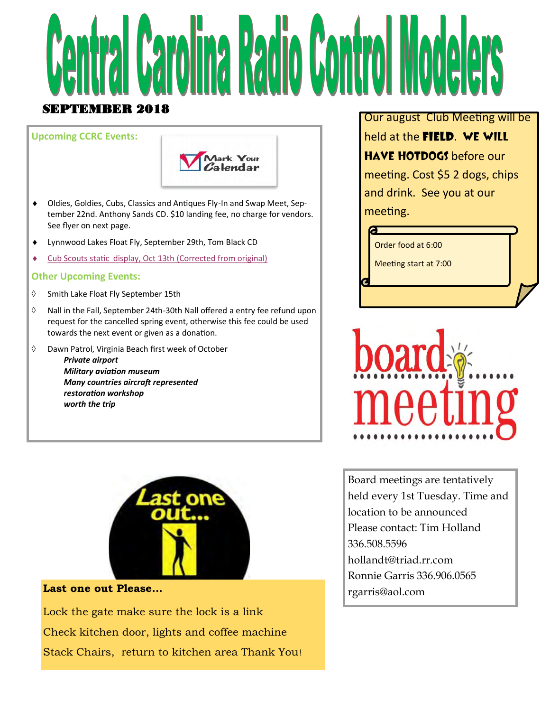

### **Upcoming CCRC Events:**



- Oldies, Goldies, Cubs, Classics and Antiques Fly-In and Swap Meet, September 22nd. Anthony Sands CD. \$10 landing fee, no charge for vendors. See flyer on next page.
- Lynnwood Lakes Float Fly, September 29th, Tom Black CD
- Cub Scouts static display, Oct 13th (Corrected from original)

#### **Other Upcoming Events:**

- $\Diamond$  Smith Lake Float Fly September 15th
- $\Diamond$  Nall in the Fall, September 24th-30th Nall offered a entry fee refund upon request for the cancelled spring event, otherwise this fee could be used towards the next event or given as a donation.
- Dawn Patrol, Virginia Beach first week of October *Private airport Military aviation museum Many countries aircraft represented restoration workshop worth the trip*



### **Last one out Please...**

Lock the gate make sure the lock is a link Check kitchen door, lights and coffee machine Stack Chairs, return to kitchen area Thank You! Our august Club Meeting will be held at the **field**. We will HAVE HOTDOGS before our meeting. Cost \$5 2 dogs, chips and drink. See you at our meeting.

Order food at 6:00

Meeting start at 7:00



Board meetings are tentatively held every 1st Tuesday. Time and location to be announced Please contact: Tim Holland 336.508.5596 hollandt@triad.rr.com Ronnie Garris 336.906.0565 rgarris@aol.com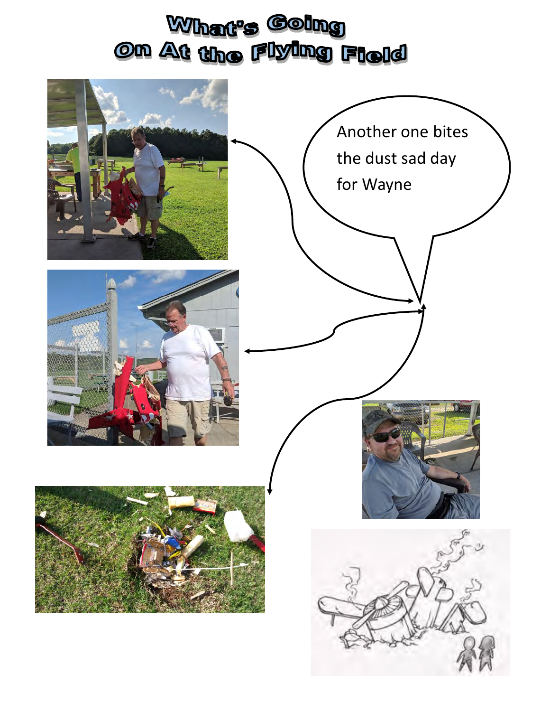# What's Going Om At the Flying Field

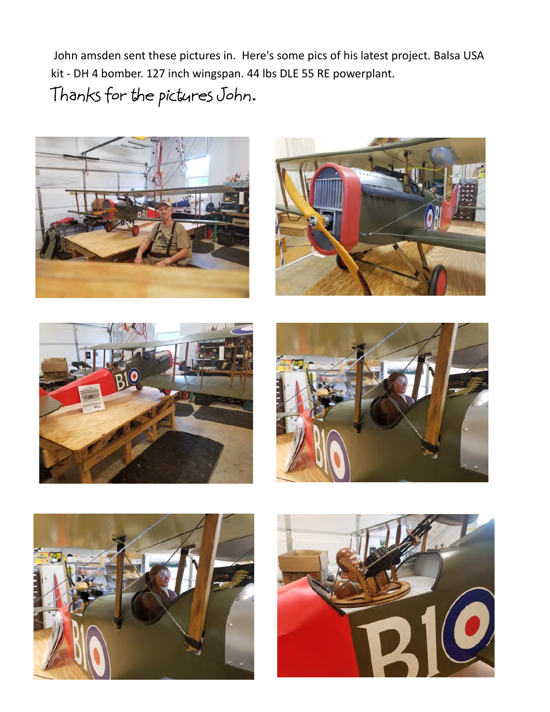John amsden sent these pictures in. Here's some pics of his latest project. Balsa USA kit - DH 4 bomber. 127 inch wingspan. 44 lbs DLE 55 RE powerplant. Thanks for the pictures John.











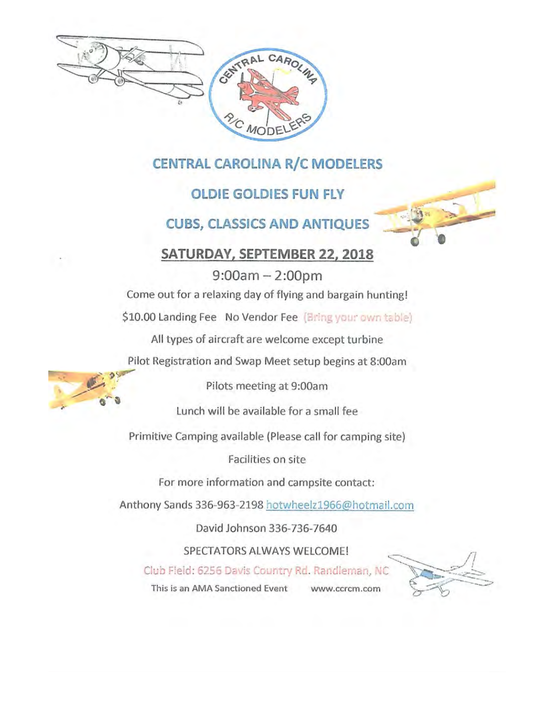

### **CENTRAL CAROLINA R/C MODELERS**

### **OLDIE GOLDIES FUN FLY**

**CUBS, CLASSICS AND ANTIQUES** 

### SATURDAY, SEPTEMBER 22, 2018

 $9:00am - 2:00pm$ Come out for a relaxing day of flying and bargain hunting!

\$10.00 Landing Fee No Vendor Fee (Bring your own table)

All types of aircraft are welcome except turbine

Pilot Registration and Swap Meet setup begins at 8:00am



Pilots meeting at 9:00am

Lunch will be available for a small fee

Primitive Camping available (Please call for camping site)

Facilities on site

For more information and campsite contact:

Anthony Sands 336-963-2198 hotwheelz1966@hotmail.com

David Johnson 336-736-7640

SPECTATORS ALWAYS WELCOME!

Club Field: 6256 Davis Country Rd. Randleman, NC

This is an AMA Sanctioned Event www.ccrcm.com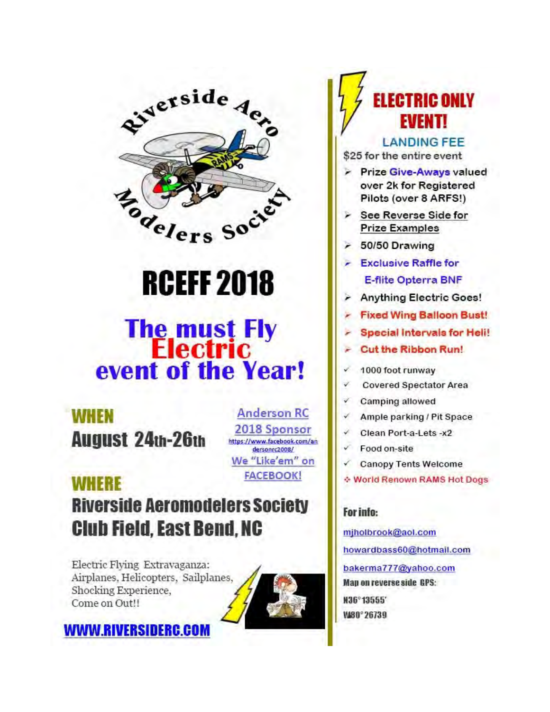

# **RCEFF 2018**

# **The must Fly<br>Electric** event of the Year!

**WHEN August 24th-26th** 

**Anderson RC** 2018 Sponsor https://www.facebook.com/an dersonrc2008/ We "Like'em" on **FACEBOOK!** 

## **WHERE Riverside Aeromodelers Society Club Field, East Bend, NC**

Electric Flying Extravaganza: Airplanes, Helicopters, Sailplanes, Shocking Experience. Come on Out!!

**WWW.RIVERSIDERC.COM** 



# FI FATRIA ONI V **EVENT!**

### **LANDING FEE**

\$25 for the entire event

- Prize Give-Aways valued over 2k for Registered Pilots (over 8 ARFS!)
- > See Reverse Side for **Prize Examples**
- $\geq 50/50$  Drawing
- $\epsilon$  Exclusive Raffle for **E-flite Opterra BNF**
- **Anything Electric Goes!**
- **Fixed Wing Balloon Bust!**
- Special Intervals for Heli!
- **Cut the Ribbon Run!**
- v 1000 foot runway
- v **Covered Spectator Area**
- Camping allowed
- Ample parking / Pit Space √
- Clean Port-a-Lets -x2
- Food on-site
- **Canopy Tents Welcome**
- ☆ World Renown RAMS Hot Dogs

### For info:

mjholbrook@aol.com howardbass60@hotmail.com bakerma777@yahoo.com Map on reverse side GPS: M36°13555' WA80°26739